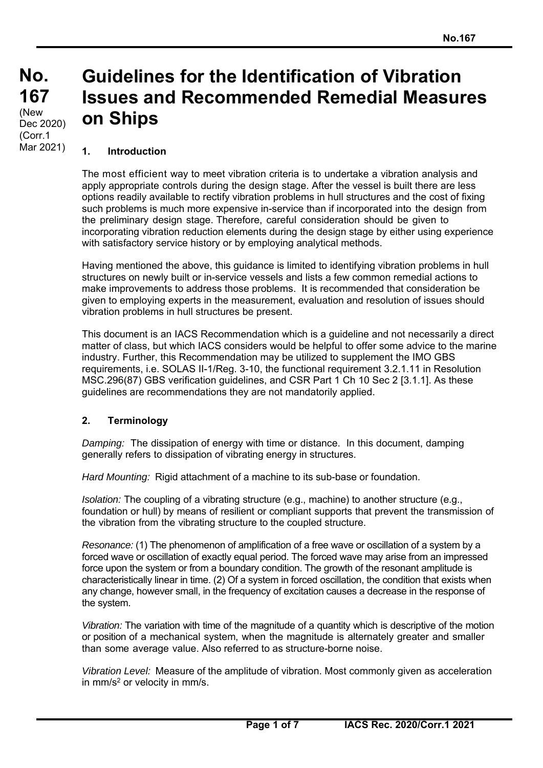# **Guidelines for the Identification of Vibration Issues and Recommended Remedial Measures on Ships**

#### **1. Introduction**

The most efficient way to meet vibration criteria is to undertake a vibration analysis and apply appropriate controls during the design stage. After the vessel is built there are less options readily available to rectify vibration problems in hull structures and the cost of fixing such problems is much more expensive in-service than if incorporated into the design from the preliminary design stage. Therefore, careful consideration should be given to incorporating vibration reduction elements during the design stage by either using experience with satisfactory service history or by employing analytical methods.

Having mentioned the above, this guidance is limited to identifying vibration problems in hull structures on newly built or in-service vessels and lists a few common remedial actions to make improvements to address those problems. It is recommended that consideration be given to employing experts in the measurement, evaluation and resolution of issues should vibration problems in hull structures be present.

This document is an IACS Recommendation which is a guideline and not necessarily a direct matter of class, but which IACS considers would be helpful to offer some advice to the marine industry. Further, this Recommendation may be utilized to supplement the IMO GBS requirements, i.e. SOLAS II-1/Reg. 3-10, the functional requirement 3.2.1.11 in Resolution MSC.296(87) GBS verification guidelines, and CSR Part 1 Ch 10 Sec 2 [3.1.1]. As these guidelines are recommendations they are not mandatorily applied.

### **2. Terminology**

 $\overline{a}$ 

*Damping:* The dissipation of energy with time or distance. In this document, damping generally refers to dissipation of vibrating energy in structures.

*Hard Mounting:* Rigid attachment of a machine to its sub-base or foundation.

*Isolation:* The coupling of a vibrating structure (e.g., machine) to another structure (e.g., foundation or hull) by means of resilient or compliant supports that prevent the transmission of the vibration from the vibrating structure to the coupled structure.

*Resonance:* (1) The phenomenon of amplification of a free wave or oscillation of a system by a forced wave or oscillation of exactly equal period. The forced wave may arise from an impressed force upon the system or from a boundary condition. The growth of the resonant amplitude is characteristically linear in time. (2) Of a system in forced oscillation, the condition that exists when any change, however small, in the frequency of excitation causes a decrease in the response of the system.

*Vibration:* The variation with time of the magnitude of a quantity which is descriptive of the motion or position of a mechanical system, when the magnitude is alternately greater and smaller than some average value. Also referred to as structure-borne noise.

*Vibration Level:* Measure of the amplitude of vibration. Most commonly given as acceleration in  $mm/s<sup>2</sup>$  or velocity in  $mm/s$ .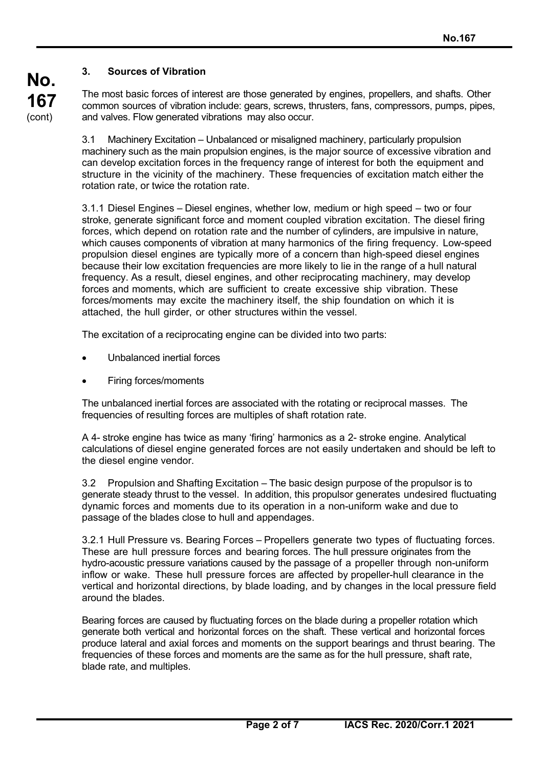# **3. Sources of Vibration**

The most basic forces of interest are those generated by engines, propellers, and shafts. Other common sources of vibration include: gears, screws, thrusters, fans, compressors, pumps, pipes, and valves. Flow generated vibrations may also occur.

3.1 Machinery Excitation – Unbalanced or misaligned machinery, particularly propulsion machinery such as the main propulsion engines, is the major source of excessive vibration and can develop excitation forces in the frequency range of interest for both the equipment and structure in the vicinity of the machinery. These frequencies of excitation match either the rotation rate, or twice the rotation rate.

3.1.1 Diesel Engines – Diesel engines, whether low, medium or high speed – two or four stroke, generate significant force and moment coupled vibration excitation. The diesel firing forces, which depend on rotation rate and the number of cylinders, are impulsive in nature, which causes components of vibration at many harmonics of the firing frequency. Low-speed propulsion diesel engines are typically more of a concern than high-speed diesel engines because their low excitation frequencies are more likely to lie in the range of a hull natural frequency. As a result, diesel engines, and other reciprocating machinery, may develop forces and moments, which are sufficient to create excessive ship vibration. These forces/moments may excite the machinery itself, the ship foundation on which it is attached, the hull girder, or other structures within the vessel.

The excitation of a reciprocating engine can be divided into two parts:

- Unbalanced inertial forces
- Firing forces/moments

 $\overline{a}$ 

The unbalanced inertial forces are associated with the rotating or reciprocal masses. The frequencies of resulting forces are multiples of shaft rotation rate.

A 4- stroke engine has twice as many 'firing' harmonics as a 2- stroke engine. Analytical calculations of diesel engine generated forces are not easily undertaken and should be left to the diesel engine vendor.

3.2 Propulsion and Shafting Excitation – The basic design purpose of the propulsor is to generate steady thrust to the vessel. In addition, this propulsor generates undesired fluctuating dynamic forces and moments due to its operation in a non-uniform wake and due to passage of the blades close to hull and appendages.

3.2.1 Hull Pressure vs. Bearing Forces – Propellers generate two types of fluctuating forces. These are hull pressure forces and bearing forces. The hull pressure originates from the hydro-acoustic pressure variations caused by the passage of a propeller through non-uniform inflow or wake. These hull pressure forces are affected by propeller-hull clearance in the vertical and horizontal directions, by blade loading, and by changes in the local pressure field around the blades.

Bearing forces are caused by fluctuating forces on the blade during a propeller rotation which generate both vertical and horizontal forces on the shaft. These vertical and horizontal forces produce lateral and axial forces and moments on the support bearings and thrust bearing. The frequencies of these forces and moments are the same as for the hull pressure, shaft rate, blade rate, and multiples.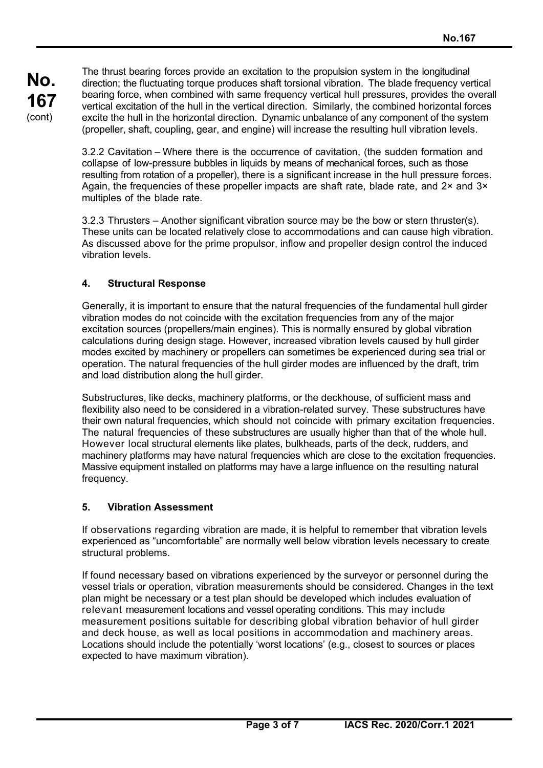The thrust bearing forces provide an excitation to the propulsion system in the longitudinal direction; the fluctuating torque produces shaft torsional vibration. The blade frequency vertical bearing force, when combined with same frequency vertical hull pressures, provides the overall vertical excitation of the hull in the vertical direction. Similarly, the combined horizontal forces excite the hull in the horizontal direction. Dynamic unbalance of any component of the system (propeller, shaft, coupling, gear, and engine) will increase the resulting hull vibration levels.

3.2.2 Cavitation – Where there is the occurrence of cavitation, (the sudden formation and collapse of low-pressure bubbles in liquids by means of mechanical forces, such as those resulting from rotation of a propeller), there is a significant increase in the hull pressure forces. Again, the frequencies of these propeller impacts are shaft rate, blade rate, and  $2 \times$  and  $3 \times$ multiples of the blade rate.

3.2.3 Thrusters – Another significant vibration source may be the bow or stern thruster(s). These units can be located relatively close to accommodations and can cause high vibration. As discussed above for the prime propulsor, inflow and propeller design control the induced vibration levels.

### **4. Structural Response**

Generally, it is important to ensure that the natural frequencies of the fundamental hull girder vibration modes do not coincide with the excitation frequencies from any of the major excitation sources (propellers/main engines). This is normally ensured by global vibration calculations during design stage. However, increased vibration levels caused by hull girder modes excited by machinery or propellers can sometimes be experienced during sea trial or operation. The natural frequencies of the hull girder modes are influenced by the draft, trim and load distribution along the hull girder.

Substructures, like decks, machinery platforms, or the deckhouse, of sufficient mass and flexibility also need to be considered in a vibration-related survey. These substructures have their own natural frequencies, which should not coincide with primary excitation frequencies. The natural frequencies of these substructures are usually higher than that of the whole hull. However local structural elements like plates, bulkheads, parts of the deck, rudders, and machinery platforms may have natural frequencies which are close to the excitation frequencies. Massive equipment installed on platforms may have a large influence on the resulting natural frequency.

#### **5. Vibration Assessment**

 $\overline{a}$ 

If observations regarding vibration are made, it is helpful to remember that vibration levels experienced as "uncomfortable" are normally well below vibration levels necessary to create structural problems.

If found necessary based on vibrations experienced by the surveyor or personnel during the vessel trials or operation, vibration measurements should be considered. Changes in the text plan might be necessary or a test plan should be developed which includes evaluation of relevant measurement locations and vessel operating conditions. This may include measurement positions suitable for describing global vibration behavior of hull girder and deck house, as well as local positions in accommodation and machinery areas. Locations should include the potentially 'worst locations' (e.g., closest to sources or places expected to have maximum vibration).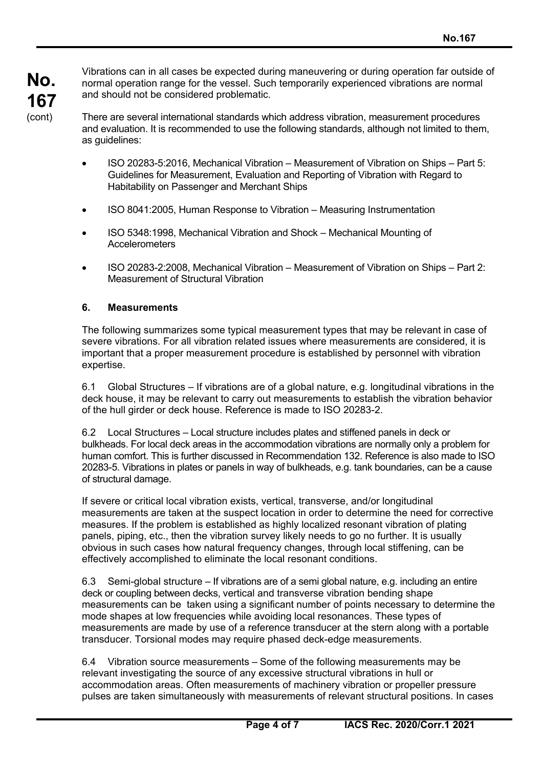Vibrations can in all cases be expected during maneuvering or during operation far outside of normal operation range for the vessel. Such temporarily experienced vibrations are normal and should not be considered problematic.

There are several international standards which address vibration, measurement procedures and evaluation. It is recommended to use the following standards, although not limited to them, as guidelines:

- ISO 20283-5:2016, Mechanical Vibration Measurement of Vibration on Ships Part 5: Guidelines for Measurement, Evaluation and Reporting of Vibration with Regard to Habitability on Passenger and Merchant Ships
- ISO 8041:2005, Human Response to Vibration Measuring Instrumentation
- ISO 5348:1998, Mechanical Vibration and Shock Mechanical Mounting of **Accelerometers**
- ISO 20283-2:2008, Mechanical Vibration Measurement of Vibration on Ships Part 2: Measurement of Structural Vibration

### **6. Measurements**

 $\overline{a}$ 

The following summarizes some typical measurement types that may be relevant in case of severe vibrations. For all vibration related issues where measurements are considered, it is important that a proper measurement procedure is established by personnel with vibration expertise.

6.1 Global Structures – If vibrations are of a global nature, e.g. longitudinal vibrations in the deck house, it may be relevant to carry out measurements to establish the vibration behavior of the hull girder or deck house. Reference is made to ISO 20283-2.

6.2 Local Structures – Local structure includes plates and stiffened panels in deck or bulkheads. For local deck areas in the accommodation vibrations are normally only a problem for human comfort. This is further discussed in Recommendation 132. Reference is also made to ISO 20283-5. Vibrations in plates or panels in way of bulkheads, e.g. tank boundaries, can be a cause of structural damage.

If severe or critical local vibration exists, vertical, transverse, and/or longitudinal measurements are taken at the suspect location in order to determine the need for corrective measures. If the problem is established as highly localized resonant vibration of plating panels, piping, etc., then the vibration survey likely needs to go no further. It is usually obvious in such cases how natural frequency changes, through local stiffening, can be effectively accomplished to eliminate the local resonant conditions.

6.3 Semi-global structure – If vibrations are of a semi global nature, e.g. including an entire deck or coupling between decks, vertical and transverse vibration bending shape measurements can be taken using a significant number of points necessary to determine the mode shapes at low frequencies while avoiding local resonances. These types of measurements are made by use of a reference transducer at the stern along with a portable transducer. Torsional modes may require phased deck-edge measurements.

6.4 Vibration source measurements – Some of the following measurements may be relevant investigating the source of any excessive structural vibrations in hull or accommodation areas. Often measurements of machinery vibration or propeller pressure pulses are taken simultaneously with measurements of relevant structural positions. In cases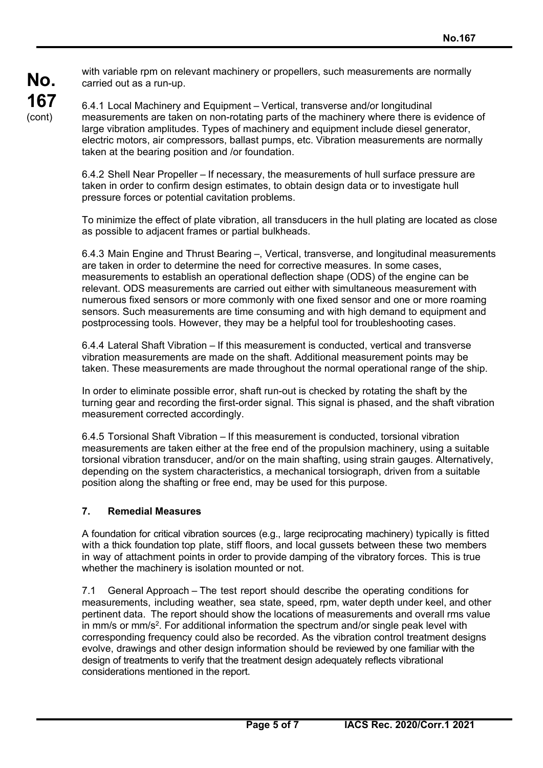**No. 167**  (cont)

with variable rpm on relevant machinery or propellers, such measurements are normally carried out as a run-up.

6.4.1 Local Machinery and Equipment – Vertical, transverse and/or longitudinal measurements are taken on non-rotating parts of the machinery where there is evidence of large vibration amplitudes. Types of machinery and equipment include diesel generator, electric motors, air compressors, ballast pumps, etc. Vibration measurements are normally taken at the bearing position and /or foundation.

6.4.2 Shell Near Propeller – If necessary, the measurements of hull surface pressure are taken in order to confirm design estimates, to obtain design data or to investigate hull pressure forces or potential cavitation problems.

To minimize the effect of plate vibration, all transducers in the hull plating are located as close as possible to adjacent frames or partial bulkheads.

6.4.3 Main Engine and Thrust Bearing –, Vertical, transverse, and longitudinal measurements are taken in order to determine the need for corrective measures. In some cases, measurements to establish an operational deflection shape (ODS) of the engine can be relevant. ODS measurements are carried out either with simultaneous measurement with numerous fixed sensors or more commonly with one fixed sensor and one or more roaming sensors. Such measurements are time consuming and with high demand to equipment and postprocessing tools. However, they may be a helpful tool for troubleshooting cases.

6.4.4 Lateral Shaft Vibration – If this measurement is conducted, vertical and transverse vibration measurements are made on the shaft. Additional measurement points may be taken. These measurements are made throughout the normal operational range of the ship.

In order to eliminate possible error, shaft run-out is checked by rotating the shaft by the turning gear and recording the first-order signal. This signal is phased, and the shaft vibration measurement corrected accordingly.

6.4.5 Torsional Shaft Vibration – If this measurement is conducted, torsional vibration measurements are taken either at the free end of the propulsion machinery, using a suitable torsional vibration transducer, and/or on the main shafting, using strain gauges. Alternatively, depending on the system characteristics, a mechanical torsiograph, driven from a suitable position along the shafting or free end, may be used for this purpose.

### **7. Remedial Measures**

 $\overline{a}$ 

A foundation for critical vibration sources (e.g., large reciprocating machinery) typically is fitted with a thick foundation top plate, stiff floors, and local gussets between these two members in way of attachment points in order to provide damping of the vibratory forces. This is true whether the machinery is isolation mounted or not.

7.1 General Approach – The test report should describe the operating conditions for measurements, including weather, sea state, speed, rpm, water depth under keel, and other pertinent data. The report should show the locations of measurements and overall rms value in mm/s or mm/s<sup>2</sup>. For additional information the spectrum and/or single peak level with corresponding frequency could also be recorded. As the vibration control treatment designs evolve, drawings and other design information should be reviewed by one familiar with the design of treatments to verify that the treatment design adequately reflects vibrational considerations mentioned in the report.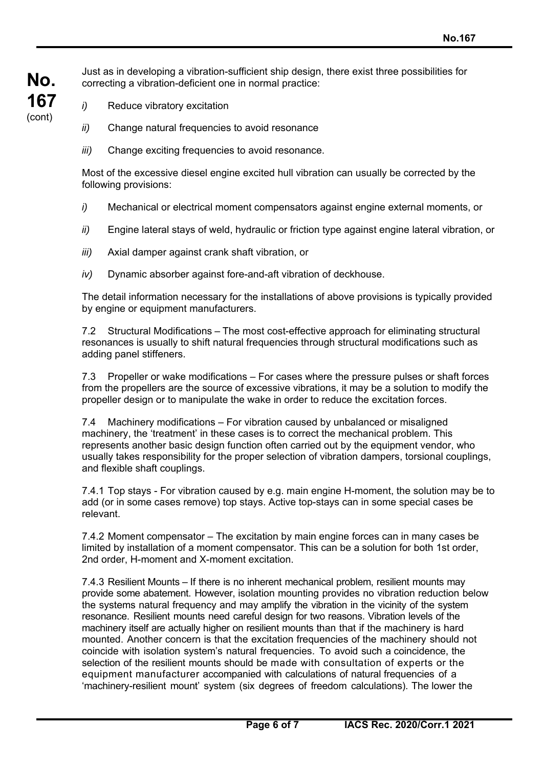**No. 167**  (cont)

 $\overline{a}$ 

Just as in developing a vibration-sufficient ship design, there exist three possibilities for correcting a vibration-deficient one in normal practice:

- *i*) Reduce vibratory excitation
- *ii)* Change natural frequencies to avoid resonance
- *iii*) Change exciting frequencies to avoid resonance.

Most of the excessive diesel engine excited hull vibration can usually be corrected by the following provisions:

- *i)* Mechanical or electrical moment compensators against engine external moments, or
- *ii)* Engine lateral stays of weld, hydraulic or friction type against engine lateral vibration, or
- *iii)* Axial damper against crank shaft vibration, or
- *iv)* Dynamic absorber against fore-and-aft vibration of deckhouse.

The detail information necessary for the installations of above provisions is typically provided by engine or equipment manufacturers.

7.2 Structural Modifications – The most cost-effective approach for eliminating structural resonances is usually to shift natural frequencies through structural modifications such as adding panel stiffeners.

7.3 Propeller or wake modifications – For cases where the pressure pulses or shaft forces from the propellers are the source of excessive vibrations, it may be a solution to modify the propeller design or to manipulate the wake in order to reduce the excitation forces.

7.4 Machinery modifications – For vibration caused by unbalanced or misaligned machinery, the 'treatment' in these cases is to correct the mechanical problem. This represents another basic design function often carried out by the equipment vendor, who usually takes responsibility for the proper selection of vibration dampers, torsional couplings, and flexible shaft couplings.

7.4.1 Top stays - For vibration caused by e.g. main engine H-moment, the solution may be to add (or in some cases remove) top stays. Active top-stays can in some special cases be relevant.

7.4.2 Moment compensator – The excitation by main engine forces can in many cases be limited by installation of a moment compensator. This can be a solution for both 1st order, 2nd order, H-moment and X-moment excitation.

7.4.3 Resilient Mounts – If there is no inherent mechanical problem, resilient mounts may provide some abatement. However, isolation mounting provides no vibration reduction below the systems natural frequency and may amplify the vibration in the vicinity of the system resonance. Resilient mounts need careful design for two reasons. Vibration levels of the machinery itself are actually higher on resilient mounts than that if the machinery is hard mounted. Another concern is that the excitation frequencies of the machinery should not coincide with isolation system's natural frequencies. To avoid such a coincidence, the selection of the resilient mounts should be made with consultation of experts or the equipment manufacturer accompanied with calculations of natural frequencies of a 'machinery-resilient mount' system (six degrees of freedom calculations). The lower the